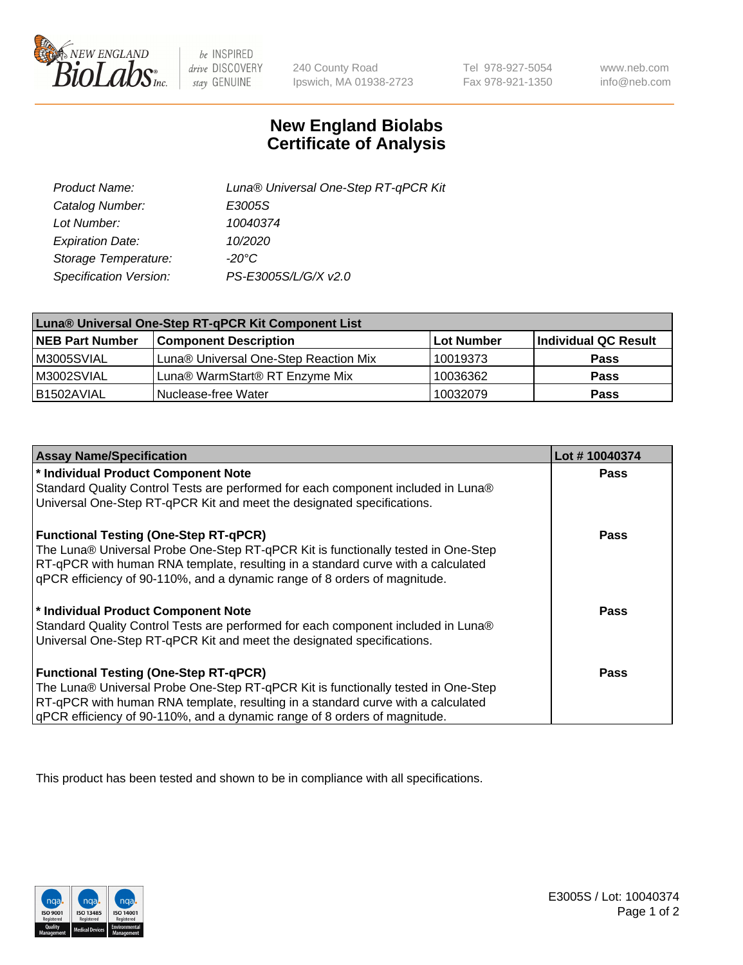

 $be$  INSPIRED drive DISCOVERY stay GENUINE

240 County Road Ipswich, MA 01938-2723

Tel 978-927-5054 Fax 978-921-1350

www.neb.com info@neb.com

## **New England Biolabs Certificate of Analysis**

| Product Name:           | Luna® Universal One-Step RT-qPCR Kit |
|-------------------------|--------------------------------------|
| Catalog Number:         | E3005S                               |
| Lot Number:             | 10040374                             |
| <b>Expiration Date:</b> | 10/2020                              |
| Storage Temperature:    | $-20^{\circ}$ C                      |
| Specification Version:  | PS-E3005S/L/G/X v2.0                 |

| Luna® Universal One-Step RT-qPCR Kit Component List |                                       |            |                      |  |
|-----------------------------------------------------|---------------------------------------|------------|----------------------|--|
| <b>NEB Part Number</b>                              | <b>Component Description</b>          | Lot Number | Individual QC Result |  |
| M3005SVIAL                                          | Luna® Universal One-Step Reaction Mix | 10019373   | <b>Pass</b>          |  |
| M3002SVIAL                                          | Luna® WarmStart® RT Enzyme Mix        | 10036362   | <b>Pass</b>          |  |
| B1502AVIAL                                          | Nuclease-free Water                   | 10032079   | <b>Pass</b>          |  |

| <b>Assay Name/Specification</b>                                                   | Lot #10040374 |
|-----------------------------------------------------------------------------------|---------------|
| * Individual Product Component Note                                               | <b>Pass</b>   |
| Standard Quality Control Tests are performed for each component included in Luna® |               |
| Universal One-Step RT-qPCR Kit and meet the designated specifications.            |               |
| <b>Functional Testing (One-Step RT-qPCR)</b>                                      | Pass          |
| The Luna® Universal Probe One-Step RT-qPCR Kit is functionally tested in One-Step |               |
| RT-qPCR with human RNA template, resulting in a standard curve with a calculated  |               |
| gPCR efficiency of 90-110%, and a dynamic range of 8 orders of magnitude.         |               |
| * Individual Product Component Note                                               | Pass          |
| Standard Quality Control Tests are performed for each component included in Luna® |               |
| Universal One-Step RT-qPCR Kit and meet the designated specifications.            |               |
| <b>Functional Testing (One-Step RT-qPCR)</b>                                      | Pass          |
| The Luna® Universal Probe One-Step RT-qPCR Kit is functionally tested in One-Step |               |
| RT-qPCR with human RNA template, resulting in a standard curve with a calculated  |               |
| gPCR efficiency of 90-110%, and a dynamic range of 8 orders of magnitude.         |               |

This product has been tested and shown to be in compliance with all specifications.